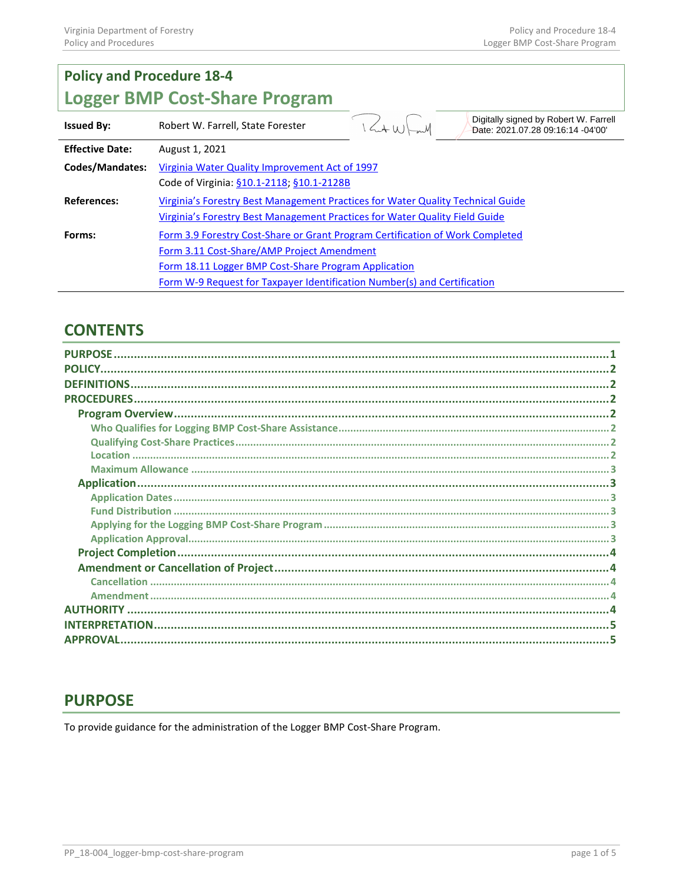| <b>Policy and Procedure 18-4</b>     |                                                                                 |  |                                                                            |  |
|--------------------------------------|---------------------------------------------------------------------------------|--|----------------------------------------------------------------------------|--|
| <b>Logger BMP Cost-Share Program</b> |                                                                                 |  |                                                                            |  |
| <b>Issued By:</b>                    | Robert W. Farrell, State Forester                                               |  | Digitally signed by Robert W. Farrell<br>Date: 2021.07.28 09:16:14 -04'00' |  |
| <b>Effective Date:</b>               | August 1, 2021                                                                  |  |                                                                            |  |
| Codes/Mandates:                      | Virginia Water Quality Improvement Act of 1997                                  |  |                                                                            |  |
|                                      | Code of Virginia: §10.1-2118; §10.1-2128B                                       |  |                                                                            |  |
| <b>References:</b>                   | Virginia's Forestry Best Management Practices for Water Quality Technical Guide |  |                                                                            |  |
|                                      | Virginia's Forestry Best Management Practices for Water Quality Field Guide     |  |                                                                            |  |
| Forms:                               | Form 3.9 Forestry Cost-Share or Grant Program Certification of Work Completed   |  |                                                                            |  |
|                                      | Form 3.11 Cost-Share/AMP Project Amendment                                      |  |                                                                            |  |
|                                      | Form 18.11 Logger BMP Cost-Share Program Application                            |  |                                                                            |  |
|                                      | Form W-9 Request for Taxpayer Identification Number(s) and Certification        |  |                                                                            |  |

# **CONTENTS**

| <b>PLIRPOSE</b>       |  |
|-----------------------|--|
| <b>POLICY</b>         |  |
| <b>DEFINITIONS</b>    |  |
| <b>PROCEDURES</b>     |  |
|                       |  |
|                       |  |
|                       |  |
| <b>Location</b>       |  |
|                       |  |
|                       |  |
|                       |  |
|                       |  |
|                       |  |
|                       |  |
|                       |  |
|                       |  |
|                       |  |
| Amendment             |  |
| <b>AUTHORITY</b>      |  |
| <b>INTERPRETATION</b> |  |
| ΔΡΡΡΩΝΔΙ              |  |

### <span id="page-0-0"></span>**PURPOSE**

To provide guidance for the administration of the Logger BMP Cost-Share Program.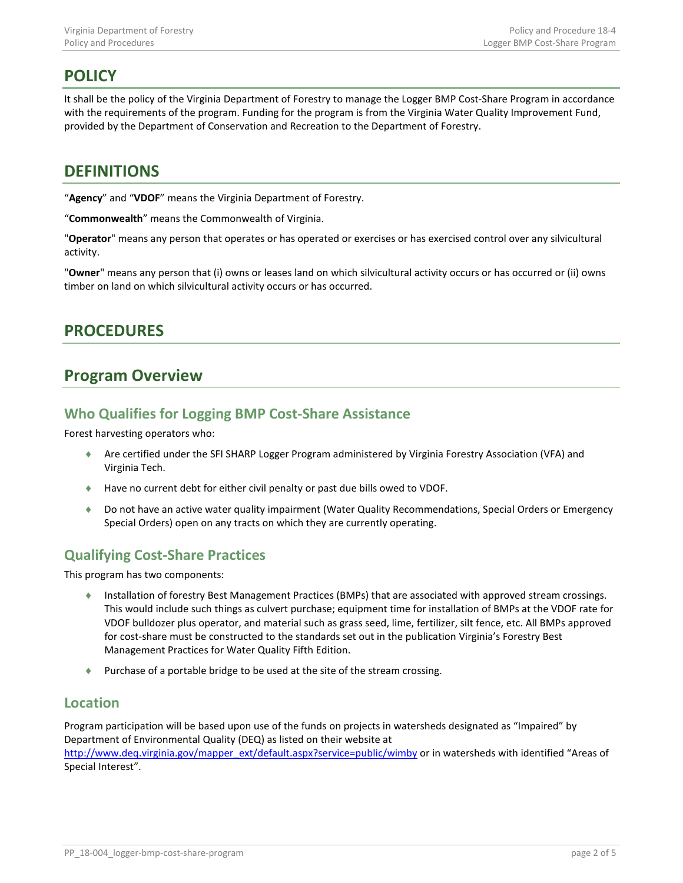# <span id="page-1-0"></span>**POLICY**

It shall be the policy of the Virginia Department of Forestry to manage the Logger BMP Cost-Share Program in accordance with the requirements of the program. Funding for the program is from the Virginia Water Quality Improvement Fund, provided by the Department of Conservation and Recreation to the Department of Forestry.

### <span id="page-1-1"></span>**DEFINITIONS**

"**Agency**" and "**VDOF**" means the Virginia Department of Forestry.

"**Commonwealth**" means the Commonwealth of Virginia.

"**Operator**" means any person that operates or has operated or exercises or has exercised control over any silvicultural activity.

"**Owner**" means any person that (i) owns or leases land on which silvicultural activity occurs or has occurred or (ii) owns timber on land on which silvicultural activity occurs or has occurred.

### <span id="page-1-2"></span>**PROCEDURES**

# <span id="page-1-3"></span>**Program Overview**

### <span id="page-1-4"></span>**Who Qualifies for Logging BMP Cost-Share Assistance**

Forest harvesting operators who:

- ♦ Are certified under the SFI SHARP Logger Program administered by Virginia Forestry Association (VFA) and Virginia Tech.
- ♦ Have no current debt for either civil penalty or past due bills owed to VDOF.
- ♦ Do not have an active water quality impairment (Water Quality Recommendations, Special Orders or Emergency Special Orders) open on any tracts on which they are currently operating.

### <span id="page-1-5"></span>**Qualifying Cost-Share Practices**

This program has two components:

- ♦ Installation of forestry Best Management Practices (BMPs) that are associated with approved stream crossings. This would include such things as culvert purchase; equipment time for installation of BMPs at the VDOF rate for VDOF bulldozer plus operator, and material such as grass seed, lime, fertilizer, silt fence, etc. All BMPs approved for cost-share must be constructed to the standards set out in the publication Virginia's Forestry Best Management Practices for Water Quality Fifth Edition.
- ♦ Purchase of a portable bridge to be used at the site of the stream crossing.

### <span id="page-1-6"></span>**Location**

Program participation will be based upon use of the funds on projects in watersheds designated as "Impaired" by Department of Environmental Quality (DEQ) as listed on their website at [http://www.deq.virginia.gov/mapper\\_ext/default.aspx?service=public/wimby](http://www.deq.virginia.gov/mapper_ext/default.aspx?service=public/wimby) or in watersheds with identified "Areas of Special Interest".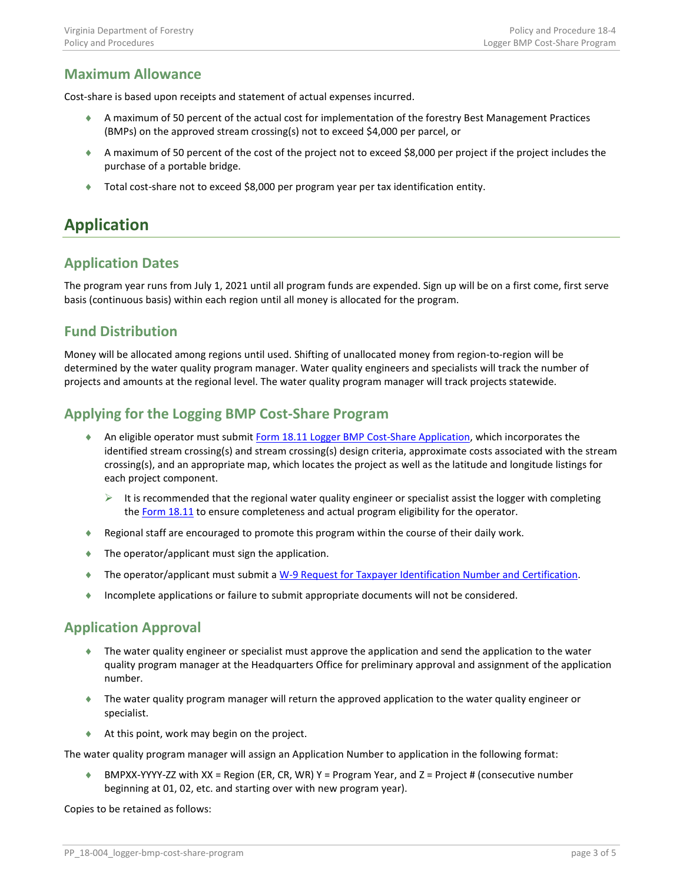### <span id="page-2-0"></span>**Maximum Allowance**

Cost-share is based upon receipts and statement of actual expenses incurred.

- ♦ A maximum of 50 percent of the actual cost for implementation of the forestry Best Management Practices (BMPs) on the approved stream crossing(s) not to exceed \$4,000 per parcel, or
- ♦ A maximum of 50 percent of the cost of the project not to exceed \$8,000 per project if the project includes the purchase of a portable bridge.
- ♦ Total cost-share not to exceed \$8,000 per program year per tax identification entity.

# <span id="page-2-1"></span>**Application**

### <span id="page-2-2"></span>**Application Dates**

The program year runs from July 1, 2021 until all program funds are expended. Sign up will be on a first come, first serve basis (continuous basis) within each region until all money is allocated for the program.

### <span id="page-2-3"></span>**Fund Distribution**

Money will be allocated among regions until used. Shifting of unallocated money from region-to-region will be determined by the water quality program manager. Water quality engineers and specialists will track the number of projects and amounts at the regional level. The water quality program manager will track projects statewide.

### <span id="page-2-4"></span>**Applying for the Logging BMP Cost-Share Program**

- ♦ An eligible operator must submit Form 18.11 [Logger BMP Cost-Share Application,](https://dof.virginia.gov/wp-content/uploads/f18.11.dotx) which incorporates the identified stream crossing(s) and stream crossing(s) design criteria, approximate costs associated with the stream crossing(s), and an appropriate map, which locates the project as well as the latitude and longitude listings for each project component.
	- $\triangleright$  It is recommended that the regional water quality engineer or specialist assist the logger with completing th[e Form 18.11](https://dof.virginia.gov/wp-content/uploads/f18.11.dotx) to ensure completeness and actual program eligibility for the operator.
- ♦ Regional staff are encouraged to promote this program within the course of their daily work.
- $\bullet$  The operator/applicant must sign the application.
- ♦ The operator/applicant must submit [a W-9 Request for Taxpayer Identification Number and Certification.](https://www.doa.virginia.gov/forms/CVG/W9_COVSubstitute.pdf)
- ♦ Incomplete applications or failure to submit appropriate documents will not be considered.

#### <span id="page-2-5"></span>**Application Approval**

- ♦ The water quality engineer or specialist must approve the application and send the application to the water quality program manager at the Headquarters Office for preliminary approval and assignment of the application number.
- ♦ The water quality program manager will return the approved application to the water quality engineer or specialist.
- ♦ At this point, work may begin on the project.

The water quality program manager will assign an Application Number to application in the following format:

♦ BMPXX-YYYY-ZZ with XX = Region (ER, CR, WR) Y = Program Year, and Z = Project # (consecutive number beginning at 01, 02, etc. and starting over with new program year).

Copies to be retained as follows: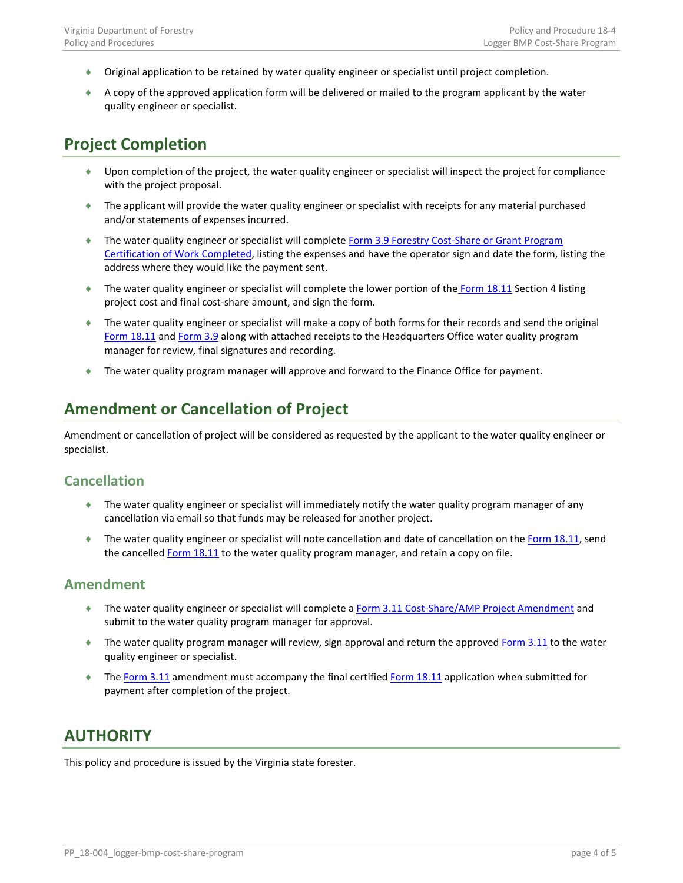- ♦ Original application to be retained by water quality engineer or specialist until project completion.
- ♦ A copy of the approved application form will be delivered or mailed to the program applicant by the water quality engineer or specialist.

### <span id="page-3-0"></span>**Project Completion**

- ♦ Upon completion of the project, the water quality engineer or specialist will inspect the project for compliance with the project proposal.
- ♦ The applicant will provide the water quality engineer or specialist with receipts for any material purchased and/or statements of expenses incurred.
- ♦ The water quality engineer or specialist will complete Form 3.9 [Forestry Cost-Share or Grant Program](https://dof.virginia.gov/wp-content/uploads/f03.09.dotx)  [Certification of Work Completed,](https://dof.virginia.gov/wp-content/uploads/f03.09.dotx) listing the expenses and have the operator sign and date the form, listing the address where they would like the payment sent.
- ♦ The water quality engineer or specialist will complete the lower portion of the [Form 18.11](https://dof.virginia.gov/wp-content/uploads/f18.11.dotx) Section 4 listing project cost and final cost-share amount, and sign the form.
- ♦ The water quality engineer or specialist will make a copy of both forms for their records and send the original [Form 18.11](https://dof.virginia.gov/wp-content/uploads/f18.11.dotx) and [Form 3.9](https://dof.virginia.gov/wp-content/uploads/f03.09.dotx) along with attached receipts to the Headquarters Office water quality program manager for review, final signatures and recording.
- ♦ The water quality program manager will approve and forward to the Finance Office for payment.

# <span id="page-3-1"></span>**Amendment or Cancellation of Project**

Amendment or cancellation of project will be considered as requested by the applicant to the water quality engineer or specialist.

#### <span id="page-3-2"></span>**Cancellation**

- ♦ The water quality engineer or specialist will immediately notify the water quality program manager of any cancellation via email so that funds may be released for another project.
- ♦ The water quality engineer or specialist will note cancellation and date of cancellation on the [Form 18.11,](https://dof.virginia.gov/wp-content/uploads/f18.11.dotx) send the cancelled [Form 18.11](https://dof.virginia.gov/wp-content/uploads/f18.11.dotx) to the water quality program manager, and retain a copy on file.

#### <span id="page-3-3"></span>**Amendment**

- ♦ The water quality engineer or specialist will complete a Form 3.11 [Cost-Share/AMP Project Amendment](https://dof.virginia.gov/wp-content/uploads/f03.11.dotx) and submit to the water quality program manager for approval.
- ♦ The water quality program manager will review, sign approval and return the approved [Form 3.11](https://dof.virginia.gov/wp-content/uploads/f03.11.dotx) to the water quality engineer or specialist.
- ♦ The [Form 3.11](https://dof.virginia.gov/wp-content/uploads/f03.11.dotx) amendment must accompany the final certified [Form 18.11](https://dof.virginia.gov/wp-content/uploads/f18.11.dotx) application when submitted for payment after completion of the project.

### <span id="page-3-4"></span>**AUTHORITY**

This policy and procedure is issued by the Virginia state forester.